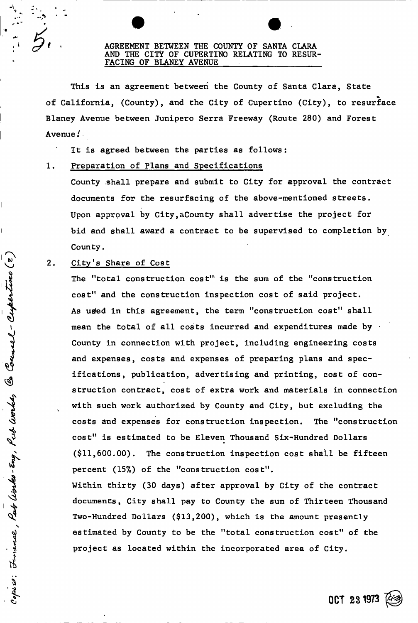## AGREEMENT BETWEEN THE COUNTY OF SANTA CLARA AND THE CITY OF CUPERTINO RELATING TO RESUR-FACING OF BLANEY AVENUE

This is an agreement between the County of Santa Clara, State of California, (County), and the City of Cupertino (City), to resurface Blaney Avenue between Junipero Serra Freeway (Route 280) and Forest Avenue/

It is agreed between the parties as follows:

## 1. Preparation of Plans and Specifications

County shall prepare and submit to City for approval the contract documents for the resurfacing of the above-mentioned streets. Upon approval by City,aCounty shall advertise the project for bid and shall award a contract to be supervised to completion by County.

## 2. City's Share of Cost

Count - Cuper

Í

: Finance, Part Works-Eng, Put Worke,

The "total construction cost" is the sum of the "construction cost" and the construction inspection cost of said project. As used in this agreement, the term "construction cost" shall mean the total of all costs incurred and expenditures made by  $\cdot$ County in connection with project, including engineering costs and expenses, costs and expenses of preparing plans and specifications, publication, advertising and printing, cost of construction contract, cost of extra work and materials in connection with such work authorized by County and City, but excluding the costs and expenses for construction inspection. The "construction cost" is estimated to be Eleven Thousand Six-Hundred Dollars (\$11,600.00). The construction inspection cost shall be fifteen percent (15%) of the "construction cost".

Within thirty (30 days) after approval by City of the contract documents, City shall pay to County the sum of Thirteen Thousand Two-Hundred Dollars (\$13,200), which is the amount presently estimated by County to be the "total construction cost" of the project as located within the incorporated area of City.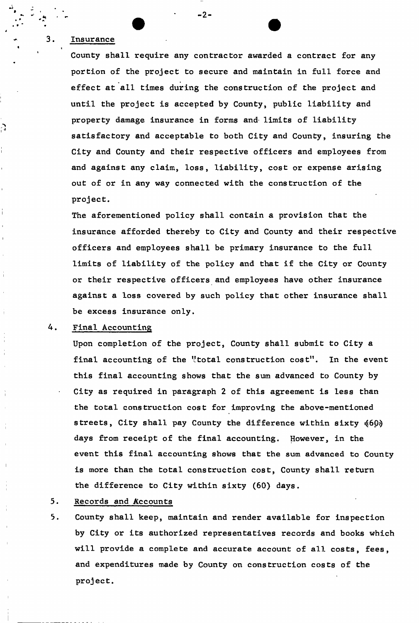## Insurance

 $3.$ 

े

County shall require any contractor awarded a contract for any portion of the project to secure and maintain in full force and effect at all times during the construction of the project and until the project is accepted by County, public liability and property damage insurance in forms and- limits of liability satisfactory and acceptable to both City and County, insuring the City and County and their respective officers and employees from and against any claim, loss, liability, cost or expense arising out of or in any way connected with the construction of the project.

 $-2-$ 

The aforementioned policy shall contain a provision that the insurance afforded thereby to City and County and their respective officers and employees shall be primary insurance to the full limits of liability of the policy and that if the City or County or their respective officers and employees have other insurance against a loss covered by such policy that other insurance shall be excess insurance only.

### 4. Final Accounting

Upon completion of the project, County shall submit to City a final accounting of the "total construction cost". In the event this final accounting shows that the sum advanced to County by City as required in paragraph 2 of this agreement is less than the total construction cost for improving the above-mentioned streets, City shall pay County the difference within sixty (60) days from receipt of the final accounting. However, in the event this final accounting shows that the sum advanced to County is more than the total construction cost, County shall return the difference to City within sixty (60) days.

#### Records and Accounts  $5.$

5. County shall keep, maintain and render available for inspection by City or its authorized representatives records and books which will provide a complete and accurate account of all costs, fees, and expenditures made by County on construction costs of the project.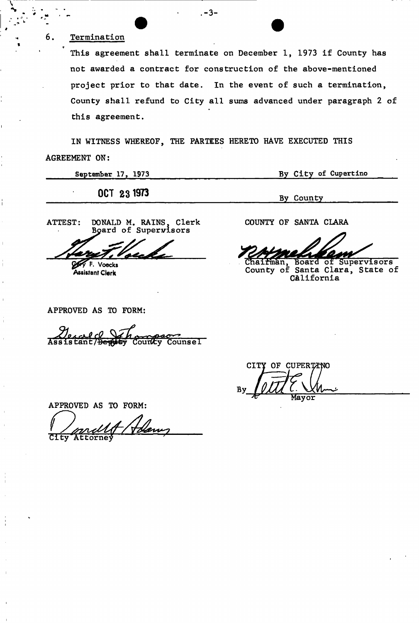# **Termination**

6.

**<sup>N</sup>**.-3-

This agreement shall terminate on December 1, 1973 if County has not awarded a contract for construction of the above-mentioned project prior to that date. In the event of such a termination, County shall refund to City all sums advanced under paragraph 2 of this agreement.

IN WITNESS WHEREOF, THE PARTEES HERETO HAVE EXECUTED THIS AGREEMENT ON:

| September 17, 1973 | By City of Cupertino |
|--------------------|----------------------|
| 0CT 23 1973        | By County            |
|                    |                      |

ATTEST: DONALD M. RAINS, Clerk Board of Supervisors

**Voecks Assistant Clerk** 

COUNTY OF SANTA CLARA

Chairman, Board of Supervisors County of Santa Clara, State of California

APPROVED AS TO FORM:

*JL su^JL*  Courty Counsel

CITY OF CUPERTANO Mayor

APPROVED AS TO FORM:  $\tt Clty$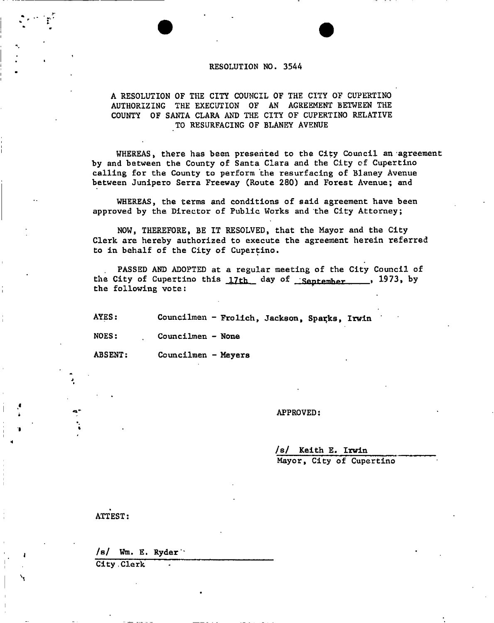## **RESOLUTION NO. 3544**

## **A RESOLUTION OF THE CITY COUNCIL OF THE CITY OF CUPERTINO AUTHORIZING THE EXECUTION OF AN AGREEMENT BETWEEN THE COUNTY OF SANTA CLARA AND THE CITY OF CUPERTINO RELATIVE TO RESURFACING OF BLANEY AVENUE**

**WHEREAS, there has been presented to the City Council an agreement by and between the County of Santa Clara and the City of Cupertino calling for the County to perform the resurfacing of Blaney Avenue between Junipero Serra Freeway (Route 280) and Forest Avenue; and** 

**WHEREAS, the terms and conditions of said agreement have been approved by the Director of Public Works and the City Attorney;** 

**NOW, THEREFORE, BE IT RESOLVED, that the Mayor and the City Clerk are hereby authorized to execute the agreement herein referred to in behalf of the City of Cupertino.** 

**PASSED AND ADOPTED at a regular meeting of the City Council of**  the City of Cupertino this 17th day of September 1973, by **the following vote:** 

AYES: Councilmen - Frolich, Jackson, Sparks, Irwin

**NOES: Councilmen - None** 

**ABSENT: Councilmen - Meyers** 

### **APPROVED:**

**/s/ Keith E. Irwin** 

**Mayor, City of Cupertino** 

**ATTEST:** 

/s/ Wm. **E. Ryder'** 

**City .Clerk**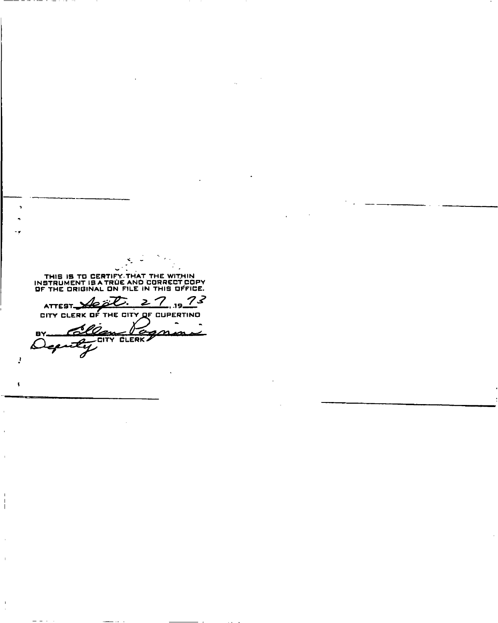THIS IS TO CERTIFY. THAT THE WITHIN<br>INSTRUMENT IS A TRUE AND CORRECT COPY<br>OF THE ORIGINAL ON FILE IN THIS OFFICE. ATTEST VERY OF THE CITY OF CUPERTING  $27.19$  $73$ 

Clean Vo BY. へ ሬ eA

 $\mathbf{I}$ 

 $\epsilon$ 

 $\overline{1}$  $\overline{\phantom{a}}$  $\overline{1}$ 

 $\bar{1}$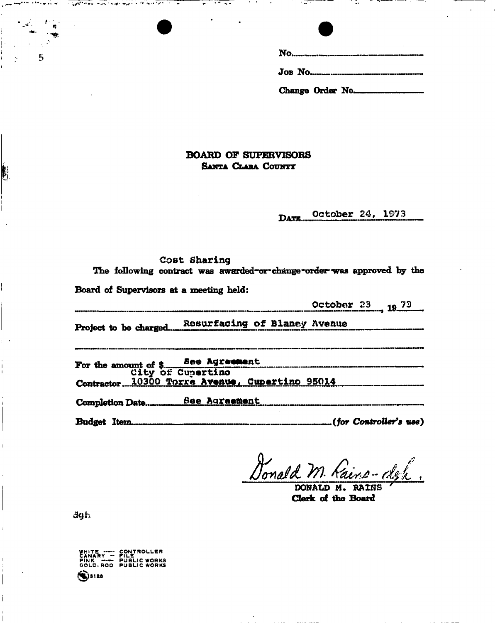| Change Order No. |
|------------------|

- 74

## **BOARD OF SUPERVISORS SANTA CLABA COUNTY**

October 24, 1973 DATE...

|                                         | Cost Sharing<br>The following contract was awarded or change order was approved by the                    |
|-----------------------------------------|-----------------------------------------------------------------------------------------------------------|
| Board of Supervisors at a meeting held: |                                                                                                           |
|                                         | October 23 19 73                                                                                          |
|                                         | Project to be charged Resurfacing of Blaney Avenue                                                        |
|                                         | For the amount of \$ See Agreement<br>City of Cupertino<br>Contractor 10300 Torra Avenue, Cupertino 95014 |
|                                         |                                                                                                           |
| <b>Budget Item.</b>                     |                                                                                                           |

**DONALD M» RAINS** 

**Clerk of the Board** 

**a gh** 

5

 $\begin{picture}(220,20) \put(0,0){\vector(0,1){10}} \put(15,0){\vector(0,1){10}} \put(15,0){\vector(0,1){10}} \put(15,0){\vector(0,1){10}} \put(15,0){\vector(0,1){10}} \put(15,0){\vector(0,1){10}} \put(15,0){\vector(0,1){10}} \put(15,0){\vector(0,1){10}} \put(15,0){\vector(0,1){10}} \put(15,0){\vector(0,1){10}} \put(15,0){\vector(0,1){10}} \put(15,0){\vector($ 

Í

WHITE ----- CONTROLLER<br>CANARY --- FILE<br>PINK ---- PUBLIC WORKS<br>GOLD ROD PUBLIC WORKS

 $8128$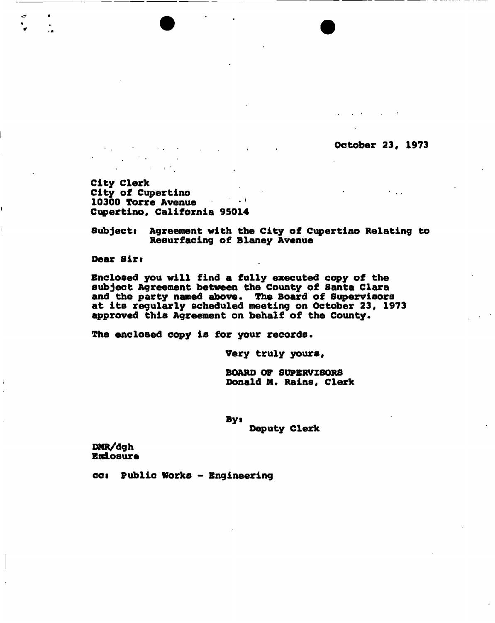October 23, 1973

 $\mathbf{r} = \mathbf{r}$  .

City Clerk City of Cupertino  $\sim 10^{11}$  k  $\pm$ 10300 Torre Avenue Cupertino, California 95014

Subjects Agreement with the City of Cupertino Relating to Resurfacing of Blaney Avenue

Dear Sirs

Enclosed you will find a fully executed copy of the subject Agreement between the County of Santa Clara and the party named above. The Board of Supervisors at its regularly scheduled meeting on October 23, 1973 approved this Agreement on behalf of the County.

The enclosed copy is for your records.

Very truly yours,

BOARD OF SUPERVISORS Donald M. Rains. Clerk

Bys

Deputy Clerk

DMR/dgh **Endosure** 

ccs Public Works - Engineering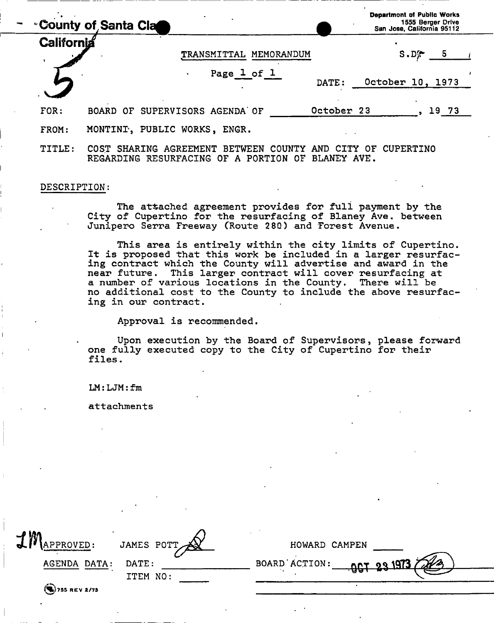| <b>County of Santa Clace</b> |                                                 |            | <b>Department of Public Works</b><br>1555 Berger Drive<br>San Jose, California 95112 |       |  |  |
|------------------------------|-------------------------------------------------|------------|--------------------------------------------------------------------------------------|-------|--|--|
| California                   | MEMORANDUM<br><b>TRANSMITTAL</b>                |            | $S.D^{\bullet}$                                                                      | 5     |  |  |
|                              | Page 1 of 1<br>$\bullet$                        | DATE:      | October 10, 1973                                                                     |       |  |  |
| FOR:                         | BOARD OF SUPERVISORS AGENDA OF                  | October 23 |                                                                                      | 19 73 |  |  |
| FROM:                        | MONTINI, PUBLIC WORKS, ENGR.                    |            |                                                                                      |       |  |  |
| TITLE:                       | SHARING AGREEMENT BETWEEN COUNTY<br><b>COST</b> | <b>AND</b> | CUPERTINO                                                                            |       |  |  |

REGARDING RESURFACING OF A PORTION OF BLANEY AVE.

## DESCRIPTION:

The attached agreement provides for full payment by the City of Cupertino for the resurfacing of Blaney Ave. between Junipero Serra Freeway (Route 280) and Forest Avenue.

This area is entirely within the city limits of Cupertino. It is proposed that this work be included in a larger resurfacing contract which the County will advertise and award in the near future. This larger contract will cover resurfacing at a number of various locations in the County. There will be no additional cost to the County to include the above resurfacing in our contract.

Approval is recommended.

Upon execution by the Board of Supervisors, please forward one fully executed copy to the City of Cupertino for their files.

 $LM: LJM: fm$ 

attachments

| M<br>PPROVED:         | JAMES POTT        | HOWARD CAMPEN                        |
|-----------------------|-------------------|--------------------------------------|
| AGENDA DATA:          | DATE:<br>ITEM NO: | BOARD ACTION:<br><u>-967 23 1973</u> |
| $\left($ 755 REV 2/73 |                   |                                      |